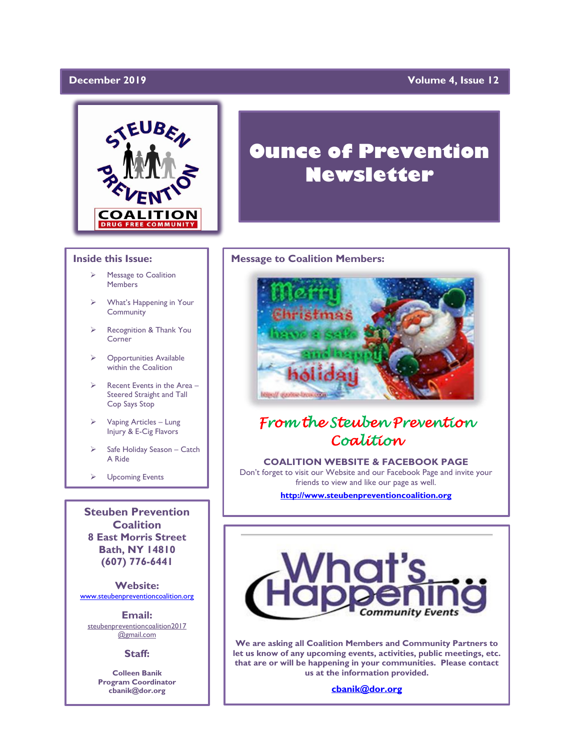# December 2019

# **Volume 4, Issue 12**



# **Inside this Issue:**

- ➢ Message to Coalition **Members**
- ➢ What's Happening in Your **Community**
- ➢ Recognition & Thank You Corner
- ➢ Opportunities Available within the Coalition
- $\triangleright$  Recent Events in the Area Steered Straight and Tall Cop Says Stop
- ➢ Vaping Articles Lung Injury & E-Cig Flavors
- ➢ Safe Holiday Season Catch A Ride
- ➢ Upcoming Events

**Steuben Prevention Coalition 8 East Morris Street Bath, NY 14810 (607) 776-6441**

**Website:**  [www.steubenpreventioncoalition.org](http://www.steubenpreventioncoalition.org/)

**Email:**  steubenpreventioncoalition2017 @gmail.com

# **Staff:**

**Colleen Banik Program Coordinator cbanik@dor.org**

# **Ounce of Prevention Newsletter**

### **Message to Coalition Members:**



# *From the Steuben Prevention Coalition*

**COALITION WEBSITE & FACEBOOK PAGE** Don't forget to visit our Website and our Facebook Page and invite your friends to view and like our page as well.

**[http://www.steubenpreventioncoalition.org](http://www.steubenpreventioncoalition.org/)**



**We are asking all Coalition Members and Community Partners to let us know of any upcoming events, activities, public meetings, etc. that are or will be happening in your communities. Please contact us at the information provided.**

**[cbanik@dor.org](mailto:cbanik@dor.org)**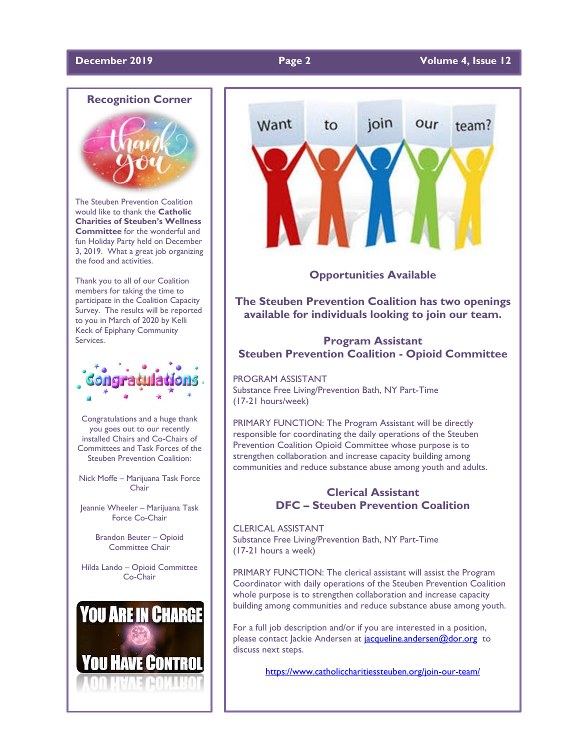# **December 2019 Page 2 Volume 4, Issue 12**



The Steuben Prevention Coalition would like to thank the **Catholic Charities of Steuben's Wellness Committee** for the wonderful and fun Holiday Party held on December 3, 2019. What a great job organizing the food and activities.

Thank you to all of our Coalition members for taking the time to participate in the Coalition Capacity Survey. The results will be reported to you in March of 2020 by Kelli Keck of Epiphany Community Services.



Congratulations and a huge thank you goes out to our recently installed Chairs and Co-Chairs of Committees and Task Forces of the Steuben Prevention Coalition:

Nick Moffe – Marijuana Task Force **Chair** 

Jeannie Wheeler – Marijuana Task Force Co-Chair

> Brandon Beuter – Opioid Committee Chair

Hilda Lando – Opioid Committee Co-Chair





**Opportunities Available**

**The Steuben Prevention Coalition has two openings available for individuals looking to join our team.**

# **Program Assistant Steuben Prevention Coalition - Opioid Committee**

PROGRAM ASSISTANT Substance Free Living/Prevention Bath, NY Part-Time (17-21 hours/week)

PRIMARY FUNCTION: The Program Assistant will be directly responsible for coordinating the daily operations of the Steuben Prevention Coalition Opioid Committee whose purpose is to strengthen collaboration and increase capacity building among communities and reduce substance abuse among youth and adults.

# **Clerical Assistant DFC – Steuben Prevention Coalition**

CLERICAL ASSISTANT Substance Free Living/Prevention Bath, NY Part-Time (17-21 hours a week)

PRIMARY FUNCTION: The clerical assistant will assist the Program Coordinator with daily operations of the Steuben Prevention Coalition whole purpose is to strengthen collaboration and increase capacity building among communities and reduce substance abuse among youth.

For a full job description and/or if you are interested in a position, please contact Jackie Andersen at [jacqueline.andersen@dor.org](mailto:jacqueline.andersen@dor.org) to discuss next steps.

<https://www.catholiccharitiessteuben.org/join-our-team/>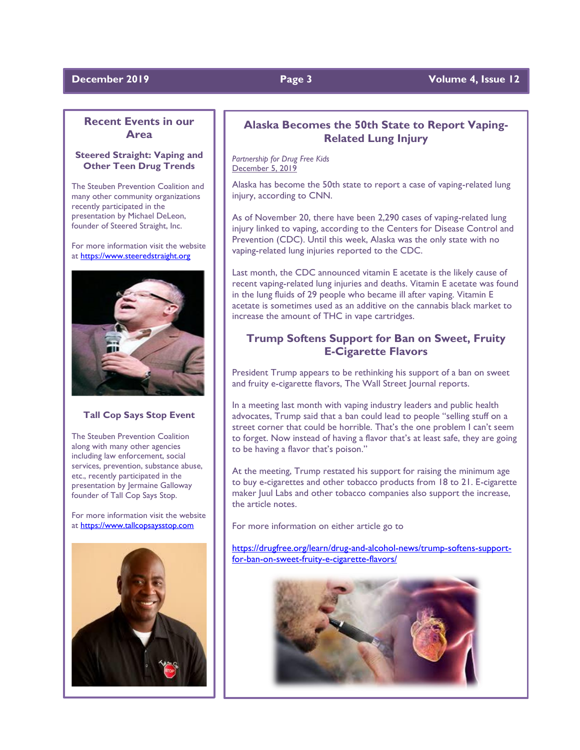# **December 2019 Page 3** Volume 4, Issue 12

# **Recent Events in our Area**

# **Steered Straight: Vaping and Other Teen Drug Trends**

The Steuben Prevention Coalition and many other community organizations recently participated in the presentation by Michael DeLeon, founder of Steered Straight, Inc.

For more information visit the website at [https://www.steeredstraight.org](https://www.steeredstraight.org/)



### **Tall Cop Says Stop Event**

The Steuben Prevention Coalition along with many other agencies including law enforcement, social services, prevention, substance abuse, etc., recently participated in the presentation by Jermaine Galloway founder of Tall Cop Says Stop.

For more information visit the website at [https://www.tallcopsaysstop.com](https://www.tallcopsaysstop.com/)



# **Alaska Becomes the 50th State to Report Vaping-Related Lung Injury**

*Partnership for Drug Free Kids* December 5, 2019

Alaska has become the 50th state to report a case of vaping-related lung injury, according to CNN.

As of November 20, there have been 2,290 cases of vaping-related lung injury linked to vaping, according to the Centers for Disease Control and Prevention (CDC). Until this week, Alaska was the only state with no vaping-related lung injuries reported to the CDC.

Last month, the CDC announced vitamin E acetate is the likely cause of recent vaping-related lung injuries and deaths. Vitamin E acetate was found in the lung fluids of 29 people who became ill after vaping. Vitamin E acetate is sometimes used as an additive on the cannabis black market to increase the amount of THC in vape cartridges.

# **Trump Softens Support for Ban on Sweet, Fruity E-Cigarette Flavors**

President Trump appears to be rethinking his support of a ban on sweet and fruity e-cigarette flavors, The Wall Street Journal reports.

In a meeting last month with vaping industry leaders and public health advocates, Trump said that a ban could lead to people "selling stuff on a street corner that could be horrible. That's the one problem I can't seem to forget. Now instead of having a flavor that's at least safe, they are going to be having a flavor that's poison."

At the meeting, Trump restated his support for raising the minimum age to buy e-cigarettes and other tobacco products from 18 to 21. E-cigarette maker Juul Labs and other tobacco companies also support the increase, the article notes.

For more information on either article go to

[https://drugfree.org/learn/drug-and-alcohol-news/trump-softens-support](https://drugfree.org/learn/drug-and-alcohol-news/trump-softens-support-for-ban-on-sweet-fruity-e-cigarette-flavors/)[for-ban-on-sweet-fruity-e-cigarette-flavors/](https://drugfree.org/learn/drug-and-alcohol-news/trump-softens-support-for-ban-on-sweet-fruity-e-cigarette-flavors/)